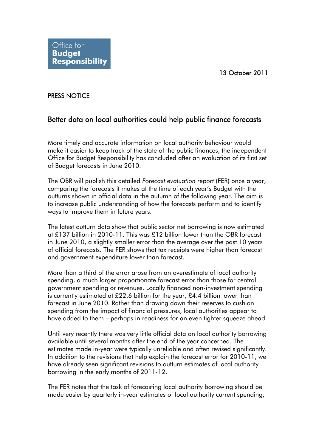## PRESS NOTICE

## Better data on local authorities could help public finance forecasts

More timely and accurate information on local authority behaviour would make it easier to keep track of the state of the public finances, the independent Office for Budget Responsibility has concluded after an evaluation of its first set of Budget forecasts in June 2010.

The OBR will publish this detailed *Forecast evaluation report* (FER) once a year, comparing the forecasts it makes at the time of each year's Budget with the outturns shown in official data in the autumn of the following year. The aim is to increase public understanding of how the forecasts perform and to identify ways to improve them in future years.

The latest outturn data show that public sector net borrowing is now estimated at £137 billion in 2010-11. This was £12 billion lower than the OBR forecast in June 2010, a slightly smaller error than the average over the past 10 years of official forecasts. The FER shows that tax receipts were higher than forecast and government expenditure lower than forecast.

More than a third of the error arose from an overestimate of local authority spending, a much larger proportionate forecast error than those for central government spending or revenues. Locally financed non-investment spending is currently estimated at £22.6 billion for the year, £4.4 billion lower than forecast in June 2010. Rather than drawing down their reserves to cushion spending from the impact of financial pressures, local authorities appear to have added to them – perhaps in readiness for an even tighter squeeze ahead.

Until very recently there was very little official data on local authority borrowing available until several months after the end of the year concerned. The estimates made in-year were typically unreliable and often revised significantly. In addition to the revisions that help explain the forecast error for 2010-11, we have already seen significant revisions to outturn estimates of local authority borrowing in the early months of 2011-12.

The FER notes that the task of forecasting local authority borrowing should be made easier by quarterly in-year estimates of local authority current spending,